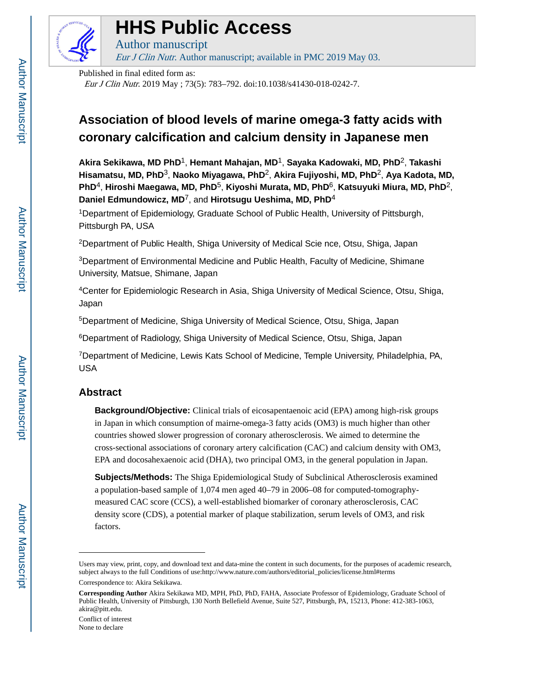

# **HHS Public Access**

Author manuscript Eur J Clin Nutr. Author manuscript; available in PMC 2019 May 03.

Published in final edited form as:

Eur J Clin Nutr. 2019 May ; 73(5): 783–792. doi:10.1038/s41430-018-0242-7.

## **Association of blood levels of marine omega-3 fatty acids with coronary calcification and calcium density in Japanese men**

**Akira Sekikawa, MD PhD**1, **Hemant Mahajan, MD**1, **Sayaka Kadowaki, MD, PhD**2, **Takashi Hisamatsu, MD, PhD**3, **Naoko Miyagawa, PhD**2, **Akira Fujiyoshi, MD, PhD**2, **Aya Kadota, MD, PhD**4, **Hiroshi Maegawa, MD, PhD**5, **Kiyoshi Murata, MD, PhD**6, **Katsuyuki Miura, MD, PhD**2, **Daniel Edmundowicz, MD**7, and **Hirotsugu Ueshima, MD, PhD**<sup>4</sup>

<sup>1</sup>Department of Epidemiology, Graduate School of Public Health, University of Pittsburgh, Pittsburgh PA, USA

<sup>2</sup>Department of Public Health, Shiga University of Medical Scie nce, Otsu, Shiga, Japan

<sup>3</sup>Department of Environmental Medicine and Public Health, Faculty of Medicine, Shimane University, Matsue, Shimane, Japan

<sup>4</sup>Center for Epidemiologic Research in Asia, Shiga University of Medical Science, Otsu, Shiga, Japan

<sup>5</sup>Department of Medicine, Shiga University of Medical Science, Otsu, Shiga, Japan

<sup>6</sup>Department of Radiology, Shiga University of Medical Science, Otsu, Shiga, Japan

<sup>7</sup>Department of Medicine, Lewis Kats School of Medicine, Temple University, Philadelphia, PA, USA

## **Abstract**

**Background/Objective:** Clinical trials of eicosapentaenoic acid (EPA) among high-risk groups in Japan in which consumption of mairne-omega-3 fatty acids (OM3) is much higher than other countries showed slower progression of coronary atherosclerosis. We aimed to determine the cross-sectional associations of coronary artery calcification (CAC) and calcium density with OM3, EPA and docosahexaenoic acid (DHA), two principal OM3, in the general population in Japan.

**Subjects/Methods:** The Shiga Epidemiological Study of Subclinical Atherosclerosis examined a population-based sample of 1,074 men aged 40–79 in 2006–08 for computed-tomographymeasured CAC score (CCS), a well-established biomarker of coronary atherosclerosis, CAC density score (CDS), a potential marker of plaque stabilization, serum levels of OM3, and risk factors.

Conflict of interest None to declare

Users may view, print, copy, and download text and data-mine the content in such documents, for the purposes of academic research, subject always to the full Conditions of use:http://www.nature.com/authors/editorial\_policies/license.html#terms

Correspondence to: Akira Sekikawa.

**Corresponding Author** Akira Sekikawa MD, MPH, PhD, PhD, FAHA, Associate Professor of Epidemiology, Graduate School of Public Health, University of Pittsburgh, 130 North Bellefield Avenue, Suite 527, Pittsburgh, PA, 15213, Phone: 412-383-1063, akira@pitt.edu.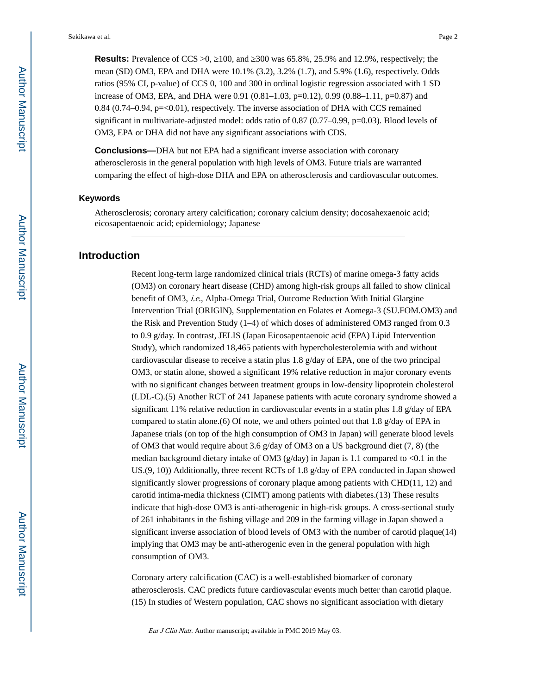**Results:** Prevalence of CCS >0, 100, and 300 was 65.8%, 25.9% and 12.9%, respectively; the mean (SD) OM3, EPA and DHA were 10.1% (3.2), 3.2% (1.7), and 5.9% (1.6), respectively. Odds ratios (95% CI, p-value) of CCS 0, 100 and 300 in ordinal logistic regression associated with 1 SD increase of OM3, EPA, and DHA were 0.91 (0.81–1.03, p=0.12), 0.99 (0.88–1.11, p=0.87) and 0.84 (0.74–0.94, p=<0.01), respectively. The inverse association of DHA with CCS remained significant in multivariate-adjusted model: odds ratio of 0.87 (0.77–0.99, p=0.03). Blood levels of OM3, EPA or DHA did not have any significant associations with CDS.

**Conclusions—**DHA but not EPA had a significant inverse association with coronary atherosclerosis in the general population with high levels of OM3. Future trials are warranted comparing the effect of high-dose DHA and EPA on atherosclerosis and cardiovascular outcomes.

#### **Keywords**

Atherosclerosis; coronary artery calcification; coronary calcium density; docosahexaenoic acid; eicosapentaenoic acid; epidemiology; Japanese

## **Introduction**

Recent long-term large randomized clinical trials (RCTs) of marine omega-3 fatty acids (OM3) on coronary heart disease (CHD) among high-risk groups all failed to show clinical benefit of OM3, i.e., Alpha-Omega Trial, Outcome Reduction With Initial Glargine Intervention Trial (ORIGIN), Supplementation en Folates et Aomega-3 (SU.FOM.OM3) and the Risk and Prevention Study (1–4) of which doses of administered OM3 ranged from 0.3 to 0.9 g/day. In contrast, JELIS (Japan Eicosapentaenoic acid (EPA) Lipid Intervention Study), which randomized 18,465 patients with hypercholesterolemia with and without cardiovascular disease to receive a statin plus 1.8 g/day of EPA, one of the two principal OM3, or statin alone, showed a significant 19% relative reduction in major coronary events with no significant changes between treatment groups in low-density lipoprotein cholesterol (LDL-C).(5) Another RCT of 241 Japanese patients with acute coronary syndrome showed a significant 11% relative reduction in cardiovascular events in a statin plus 1.8 g/day of EPA compared to statin alone.(6) Of note, we and others pointed out that 1.8 g/day of EPA in Japanese trials (on top of the high consumption of OM3 in Japan) will generate blood levels of OM3 that would require about 3.6  $g/day$  of OM3 on a US background diet (7, 8) (the median background dietary intake of OM3 ( $g$ /day) in Japan is 1.1 compared to <0.1 in the US.(9, 10)) Additionally, three recent RCTs of 1.8 g/day of EPA conducted in Japan showed significantly slower progressions of coronary plaque among patients with CHD(11, 12) and carotid intima-media thickness (CIMT) among patients with diabetes.(13) These results indicate that high-dose OM3 is anti-atherogenic in high-risk groups. A cross-sectional study of 261 inhabitants in the fishing village and 209 in the farming village in Japan showed a significant inverse association of blood levels of OM3 with the number of carotid plaque(14) implying that OM3 may be anti-atherogenic even in the general population with high consumption of OM3.

Coronary artery calcification (CAC) is a well-established biomarker of coronary atherosclerosis. CAC predicts future cardiovascular events much better than carotid plaque. (15) In studies of Western population, CAC shows no significant association with dietary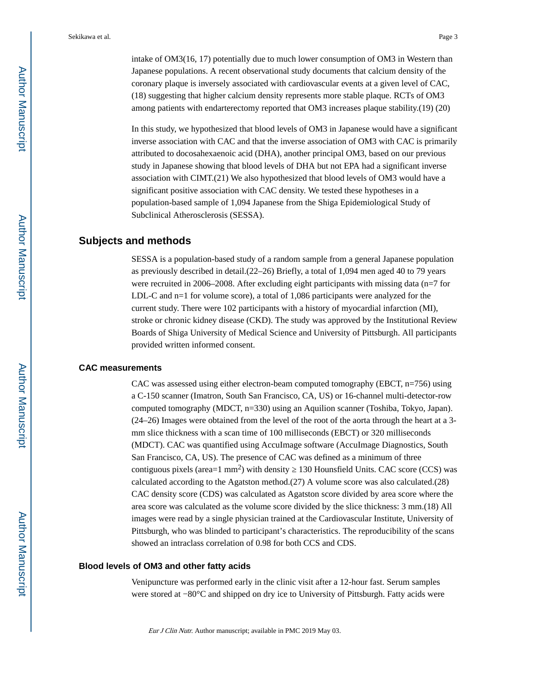intake of OM3(16, 17) potentially due to much lower consumption of OM3 in Western than Japanese populations. A recent observational study documents that calcium density of the coronary plaque is inversely associated with cardiovascular events at a given level of CAC, (18) suggesting that higher calcium density represents more stable plaque. RCTs of OM3 among patients with endarterectomy reported that OM3 increases plaque stability.(19) (20)

In this study, we hypothesized that blood levels of OM3 in Japanese would have a significant inverse association with CAC and that the inverse association of OM3 with CAC is primarily attributed to docosahexaenoic acid (DHA), another principal OM3, based on our previous study in Japanese showing that blood levels of DHA but not EPA had a significant inverse association with CIMT.(21) We also hypothesized that blood levels of OM3 would have a significant positive association with CAC density. We tested these hypotheses in a population-based sample of 1,094 Japanese from the Shiga Epidemiological Study of Subclinical Atherosclerosis (SESSA).

## **Subjects and methods**

SESSA is a population-based study of a random sample from a general Japanese population as previously described in detail.(22–26) Briefly, a total of 1,094 men aged 40 to 79 years were recruited in 2006–2008. After excluding eight participants with missing data (n=7 for LDL-C and n=1 for volume score), a total of 1,086 participants were analyzed for the current study. There were 102 participants with a history of myocardial infarction (MI), stroke or chronic kidney disease (CKD). The study was approved by the Institutional Review Boards of Shiga University of Medical Science and University of Pittsburgh. All participants provided written informed consent.

#### **CAC measurements**

CAC was assessed using either electron-beam computed tomography (EBCT,  $n=756$ ) using a C-150 scanner (Imatron, South San Francisco, CA, US) or 16-channel multi-detector-row computed tomography (MDCT, n=330) using an Aquilion scanner (Toshiba, Tokyo, Japan). (24–26) Images were obtained from the level of the root of the aorta through the heart at a 3 mm slice thickness with a scan time of 100 milliseconds (EBCT) or 320 milliseconds (MDCT). CAC was quantified using AccuImage software (AccuImage Diagnostics, South San Francisco, CA, US). The presence of CAC was defined as a minimum of three contiguous pixels (area= $1 \text{ mm}^2$ ) with density  $130 \text{ Hounds}$  Units. CAC score (CCS) was calculated according to the Agatston method.(27) A volume score was also calculated.(28) CAC density score (CDS) was calculated as Agatston score divided by area score where the area score was calculated as the volume score divided by the slice thickness: 3 mm.(18) All images were read by a single physician trained at the Cardiovascular Institute, University of Pittsburgh, who was blinded to participant's characteristics. The reproducibility of the scans showed an intraclass correlation of 0.98 for both CCS and CDS.

#### **Blood levels of OM3 and other fatty acids**

Venipuncture was performed early in the clinic visit after a 12-hour fast. Serum samples were stored at −80°C and shipped on dry ice to University of Pittsburgh. Fatty acids were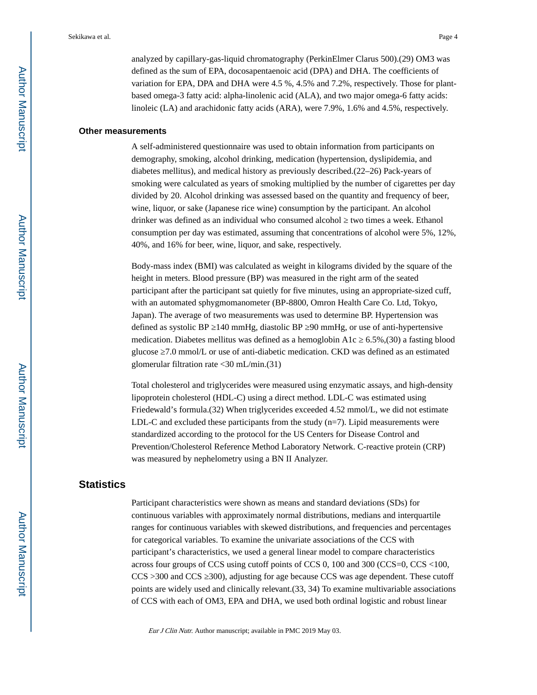analyzed by capillary-gas-liquid chromatography (PerkinElmer Clarus 500).(29) OM3 was defined as the sum of EPA, docosapentaenoic acid (DPA) and DHA. The coefficients of variation for EPA, DPA and DHA were 4.5 %, 4.5% and 7.2%, respectively. Those for plantbased omega-3 fatty acid: alpha-linolenic acid (ALA), and two major omega-6 fatty acids: linoleic (LA) and arachidonic fatty acids (ARA), were 7.9%, 1.6% and 4.5%, respectively.

#### **Other measurements**

A self-administered questionnaire was used to obtain information from participants on demography, smoking, alcohol drinking, medication (hypertension, dyslipidemia, and diabetes mellitus), and medical history as previously described.(22–26) Pack-years of smoking were calculated as years of smoking multiplied by the number of cigarettes per day divided by 20. Alcohol drinking was assessed based on the quantity and frequency of beer, wine, liquor, or sake (Japanese rice wine) consumption by the participant. An alcohol drinker was defined as an individual who consumed alcohol two times a week. Ethanol consumption per day was estimated, assuming that concentrations of alcohol were 5%, 12%, 40%, and 16% for beer, wine, liquor, and sake, respectively.

Body-mass index (BMI) was calculated as weight in kilograms divided by the square of the height in meters. Blood pressure (BP) was measured in the right arm of the seated participant after the participant sat quietly for five minutes, using an appropriate-sized cuff, with an automated sphygmomanometer (BP-8800, Omron Health Care Co. Ltd, Tokyo, Japan). The average of two measurements was used to determine BP. Hypertension was defined as systolic BP 140 mmHg, diastolic BP 90 mmHg, or use of anti-hypertensive medication. Diabetes mellitus was defined as a hemoglobin A1c  $6.5\%,(30)$  a fasting blood glucose 7.0 mmol/L or use of anti-diabetic medication. CKD was defined as an estimated glomerular filtration rate <30 mL/min.(31)

Total cholesterol and triglycerides were measured using enzymatic assays, and high-density lipoprotein cholesterol (HDL-C) using a direct method. LDL-C was estimated using Friedewald's formula.(32) When triglycerides exceeded 4.52 mmol/L, we did not estimate LDL-C and excluded these participants from the study  $(n=7)$ . Lipid measurements were standardized according to the protocol for the US Centers for Disease Control and Prevention/Cholesterol Reference Method Laboratory Network. C-reactive protein (CRP) was measured by nephelometry using a BN II Analyzer.

## **Statistics**

Participant characteristics were shown as means and standard deviations (SDs) for continuous variables with approximately normal distributions, medians and interquartile ranges for continuous variables with skewed distributions, and frequencies and percentages for categorical variables. To examine the univariate associations of the CCS with participant's characteristics, we used a general linear model to compare characteristics across four groups of CCS using cutoff points of CCS 0, 100 and 300 (CCS=0, CCS <100, CCS >300 and CCS ≥300), adjusting for age because CCS was age dependent. These cutoff points are widely used and clinically relevant.(33, 34) To examine multivariable associations of CCS with each of OM3, EPA and DHA, we used both ordinal logistic and robust linear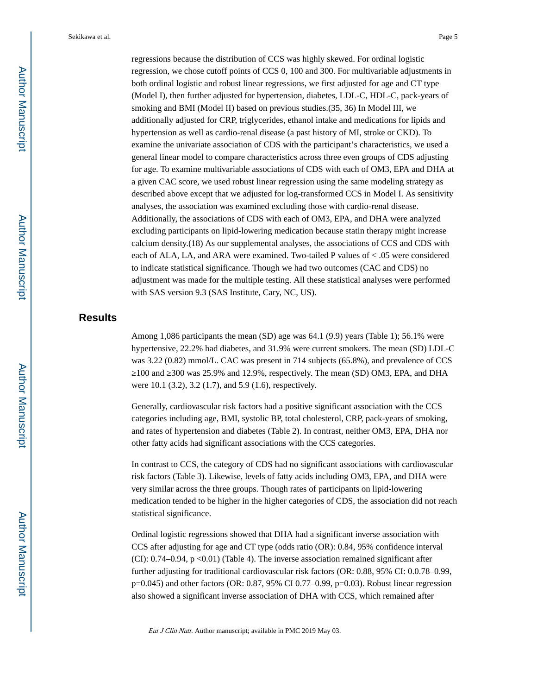Sekikawa et al. Page 5

regressions because the distribution of CCS was highly skewed. For ordinal logistic regression, we chose cutoff points of CCS 0, 100 and 300. For multivariable adjustments in both ordinal logistic and robust linear regressions, we first adjusted for age and CT type (Model I), then further adjusted for hypertension, diabetes, LDL-C, HDL-C, pack-years of smoking and BMI (Model II) based on previous studies.(35, 36) In Model III, we additionally adjusted for CRP, triglycerides, ethanol intake and medications for lipids and hypertension as well as cardio-renal disease (a past history of MI, stroke or CKD). To examine the univariate association of CDS with the participant's characteristics, we used a general linear model to compare characteristics across three even groups of CDS adjusting for age. To examine multivariable associations of CDS with each of OM3, EPA and DHA at a given CAC score, we used robust linear regression using the same modeling strategy as described above except that we adjusted for log-transformed CCS in Model I. As sensitivity analyses, the association was examined excluding those with cardio-renal disease. Additionally, the associations of CDS with each of OM3, EPA, and DHA were analyzed excluding participants on lipid-lowering medication because statin therapy might increase calcium density.(18) As our supplemental analyses, the associations of CCS and CDS with each of ALA, LA, and ARA were examined. Two-tailed P values of < .05 were considered to indicate statistical significance. Though we had two outcomes (CAC and CDS) no adjustment was made for the multiple testing. All these statistical analyses were performed with SAS version 9.3 (SAS Institute, Cary, NC, US).

## **Results**

Among 1,086 participants the mean (SD) age was 64.1 (9.9) years (Table 1); 56.1% were hypertensive, 22.2% had diabetes, and 31.9% were current smokers. The mean (SD) LDL-C was 3.22 (0.82) mmol/L. CAC was present in 714 subjects (65.8%), and prevalence of CCS ≥100 and ≥300 was 25.9% and 12.9%, respectively. The mean (SD) OM3, EPA, and DHA were 10.1 (3.2), 3.2 (1.7), and 5.9 (1.6), respectively.

Generally, cardiovascular risk factors had a positive significant association with the CCS categories including age, BMI, systolic BP, total cholesterol, CRP, pack-years of smoking, and rates of hypertension and diabetes (Table 2). In contrast, neither OM3, EPA, DHA nor other fatty acids had significant associations with the CCS categories.

In contrast to CCS, the category of CDS had no significant associations with cardiovascular risk factors (Table 3). Likewise, levels of fatty acids including OM3, EPA, and DHA were very similar across the three groups. Though rates of participants on lipid-lowering medication tended to be higher in the higher categories of CDS, the association did not reach statistical significance.

Ordinal logistic regressions showed that DHA had a significant inverse association with CCS after adjusting for age and CT type (odds ratio (OR): 0.84, 95% confidence interval (CI):  $0.74-0.94$ ,  $p < 0.01$ ) (Table 4). The inverse association remained significant after further adjusting for traditional cardiovascular risk factors (OR: 0.88, 95% CI: 0.0.78–0.99, p=0.045) and other factors (OR: 0.87, 95% CI 0.77–0.99, p=0.03). Robust linear regression also showed a significant inverse association of DHA with CCS, which remained after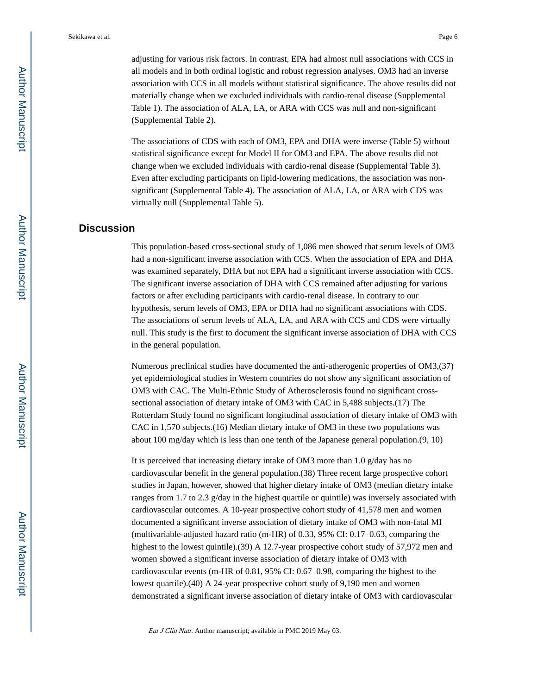adjusting for various risk factors. In contrast, EPA had almost null associations with CCS in all models and in both ordinal logistic and robust regression analyses. OM3 had an inverse association with CCS in all models without statistical significance. The above results did not materially change when we excluded individuals with cardio-renal disease (Supplemental Table 1). The association of ALA, LA, or ARA with CCS was null and non-significant (Supplemental Table 2).

The associations of CDS with each of OM3, EPA and DHA were inverse (Table 5) without statistical significance except for Model II for OM3 and EPA. The above results did not change when we excluded individuals with cardio-renal disease (Supplemental Table 3). Even after excluding participants on lipid-lowering medications, the association was nonsignificant (Supplemental Table 4). The association of ALA, LA, or ARA with CDS was virtually null (Supplemental Table 5).

## **Discussion**

This population-based cross-sectional study of 1,086 men showed that serum levels of OM3 had a non-significant inverse association with CCS. When the association of EPA and DHA was examined separately, DHA but not EPA had a significant inverse association with CCS. The significant inverse association of DHA with CCS remained after adjusting for various factors or after excluding participants with cardio-renal disease. In contrary to our hypothesis, serum levels of OM3, EPA or DHA had no significant associations with CDS. The associations of serum levels of ALA, LA, and ARA with CCS and CDS were virtually null. This study is the first to document the significant inverse association of DHA with CCS in the general population.

Numerous preclinical studies have documented the anti-atherogenic properties of OM3,(37) yet epidemiological studies in Western countries do not show any significant association of OM3 with CAC. The Multi-Ethnic Study of Atherosclerosis found no significant crosssectional association of dietary intake of OM3 with CAC in 5,488 subjects.(17) The Rotterdam Study found no significant longitudinal association of dietary intake of OM3 with CAC in 1,570 subjects.(16) Median dietary intake of OM3 in these two populations was about 100 mg/day which is less than one tenth of the Japanese general population.(9, 10)

It is perceived that increasing dietary intake of OM3 more than 1.0 g/day has no cardiovascular benefit in the general population.(38) Three recent large prospective cohort studies in Japan, however, showed that higher dietary intake of OM3 (median dietary intake ranges from 1.7 to 2.3 g/day in the highest quartile or quintile) was inversely associated with cardiovascular outcomes. A 10-year prospective cohort study of 41,578 men and women documented a significant inverse association of dietary intake of OM3 with non-fatal MI (multivariable-adjusted hazard ratio (m-HR) of 0.33, 95% CI: 0.17–0.63, comparing the highest to the lowest quintile).(39) A 12.7-year prospective cohort study of 57,972 men and women showed a significant inverse association of dietary intake of OM3 with cardiovascular events (m-HR of 0.81, 95% CI: 0.67–0.98, comparing the highest to the lowest quartile).(40) A 24-year prospective cohort study of 9,190 men and women demonstrated a significant inverse association of dietary intake of OM3 with cardiovascular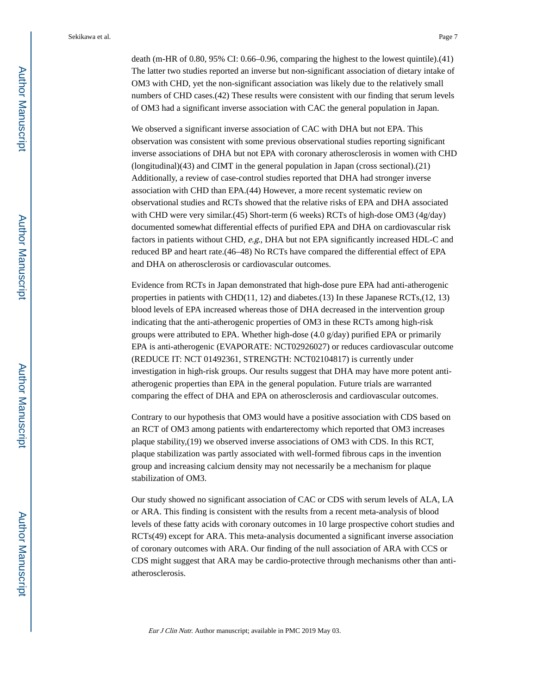death (m-HR of 0.80, 95% CI: 0.66–0.96, comparing the highest to the lowest quintile).(41) The latter two studies reported an inverse but non-significant association of dietary intake of OM3 with CHD, yet the non-significant association was likely due to the relatively small numbers of CHD cases.(42) These results were consistent with our finding that serum levels of OM3 had a significant inverse association with CAC the general population in Japan.

We observed a significant inverse association of CAC with DHA but not EPA. This observation was consistent with some previous observational studies reporting significant inverse associations of DHA but not EPA with coronary atherosclerosis in women with CHD (longitudinal)(43) and CIMT in the general population in Japan (cross sectional).(21) Additionally, a review of case-control studies reported that DHA had stronger inverse association with CHD than EPA.(44) However, a more recent systematic review on observational studies and RCTs showed that the relative risks of EPA and DHA associated with CHD were very similar.(45) Short-term (6 weeks) RCTs of high-dose OM3 (4g/day) documented somewhat differential effects of purified EPA and DHA on cardiovascular risk factors in patients without CHD, e.g., DHA but not EPA significantly increased HDL-C and reduced BP and heart rate.(46–48) No RCTs have compared the differential effect of EPA and DHA on atherosclerosis or cardiovascular outcomes.

Evidence from RCTs in Japan demonstrated that high-dose pure EPA had anti-atherogenic properties in patients with CHD(11, 12) and diabetes.(13) In these Japanese RCTs,(12, 13) blood levels of EPA increased whereas those of DHA decreased in the intervention group indicating that the anti-atherogenic properties of OM3 in these RCTs among high-risk groups were attributed to EPA. Whether high-dose  $(4.0 \text{ g/day})$  purified EPA or primarily EPA is anti-atherogenic (EVAPORATE: NCT02926027) or reduces cardiovascular outcome (REDUCE IT: NCT 01492361, STRENGTH: NCT02104817) is currently under investigation in high-risk groups. Our results suggest that DHA may have more potent antiatherogenic properties than EPA in the general population. Future trials are warranted comparing the effect of DHA and EPA on atherosclerosis and cardiovascular outcomes.

Contrary to our hypothesis that OM3 would have a positive association with CDS based on an RCT of OM3 among patients with endarterectomy which reported that OM3 increases plaque stability,(19) we observed inverse associations of OM3 with CDS. In this RCT, plaque stabilization was partly associated with well-formed fibrous caps in the invention group and increasing calcium density may not necessarily be a mechanism for plaque stabilization of OM3.

Our study showed no significant association of CAC or CDS with serum levels of ALA, LA or ARA. This finding is consistent with the results from a recent meta-analysis of blood levels of these fatty acids with coronary outcomes in 10 large prospective cohort studies and RCTs(49) except for ARA. This meta-analysis documented a significant inverse association of coronary outcomes with ARA. Our finding of the null association of ARA with CCS or CDS might suggest that ARA may be cardio-protective through mechanisms other than antiatherosclerosis.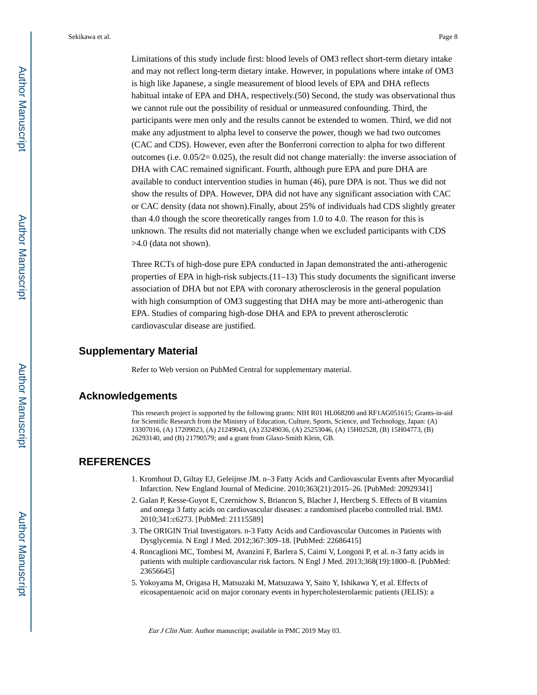Sekikawa et al. Page 8

Limitations of this study include first: blood levels of OM3 reflect short-term dietary intake and may not reflect long-term dietary intake. However, in populations where intake of OM3 is high like Japanese, a single measurement of blood levels of EPA and DHA reflects habitual intake of EPA and DHA, respectively.(50) Second, the study was observational thus we cannot rule out the possibility of residual or unmeasured confounding. Third, the participants were men only and the results cannot be extended to women. Third, we did not make any adjustment to alpha level to conserve the power, though we had two outcomes (CAC and CDS). However, even after the Bonferroni correction to alpha for two different outcomes (i.e.  $0.05/2=0.025$ ), the result did not change materially: the inverse association of DHA with CAC remained significant. Fourth, although pure EPA and pure DHA are available to conduct intervention studies in human (46), pure DPA is not. Thus we did not show the results of DPA. However, DPA did not have any significant association with CAC or CAC density (data not shown).Finally, about 25% of individuals had CDS slightly greater than 4.0 though the score theoretically ranges from 1.0 to 4.0. The reason for this is unknown. The results did not materially change when we excluded participants with CDS >4.0 (data not shown).

Three RCTs of high-dose pure EPA conducted in Japan demonstrated the anti-atherogenic properties of EPA in high-risk subjects. $(11-13)$  This study documents the significant inverse association of DHA but not EPA with coronary atherosclerosis in the general population with high consumption of OM3 suggesting that DHA may be more anti-atherogenic than EPA. Studies of comparing high-dose DHA and EPA to prevent atherosclerotic cardiovascular disease are justified.

## **Supplementary Material**

Refer to Web version on PubMed Central for supplementary material.

## **Acknowledgements**

This research project is supported by the following grants: NIH R01 HL068200 and RF1AG051615; Grants-in-aid for Scientific Research from the Ministry of Education, Culture, Sports, Science, and Technology, Japan: (A) 13307016, (A) 17209023, (A) 21249043, (A) 23249036, (A) 25253046, (A) 15H02528, (B) 15H04773, (B) 26293140, and (B) 21790579; and a grant from Glaxo-Smith Klein, GB.

## **REFERENCES**

- 1. Kromhout D, Giltay EJ, Geleijnse JM. n–3 Fatty Acids and Cardiovascular Events after Myocardial Infarction. New England Journal of Medicine. 2010;363(21):2015–26. [PubMed: 20929341]
- 2. Galan P, Kesse-Guyot E, Czernichow S, Briancon S, Blacher J, Hercberg S. Effects of B vitamins and omega 3 fatty acids on cardiovascular diseases: a randomised placebo controlled trial. BMJ. 2010;341:c6273. [PubMed: 21115589]
- 3. The ORIGIN Trial Investigators. n-3 Fatty Acids and Cardiovascular Outcomes in Patients with Dysglycemia. N Engl J Med. 2012;367:309–18. [PubMed: 22686415]
- 4. Roncaglioni MC, Tombesi M, Avanzini F, Barlera S, Caimi V, Longoni P, et al. n-3 fatty acids in patients with multiple cardiovascular risk factors. N Engl J Med. 2013;368(19):1800–8. [PubMed: 23656645]
- 5. Yokoyama M, Origasa H, Matsuzaki M, Matsuzawa Y, Saito Y, Ishikawa Y, et al. Effects of eicosapentaenoic acid on major coronary events in hypercholesterolaemic patients (JELIS): a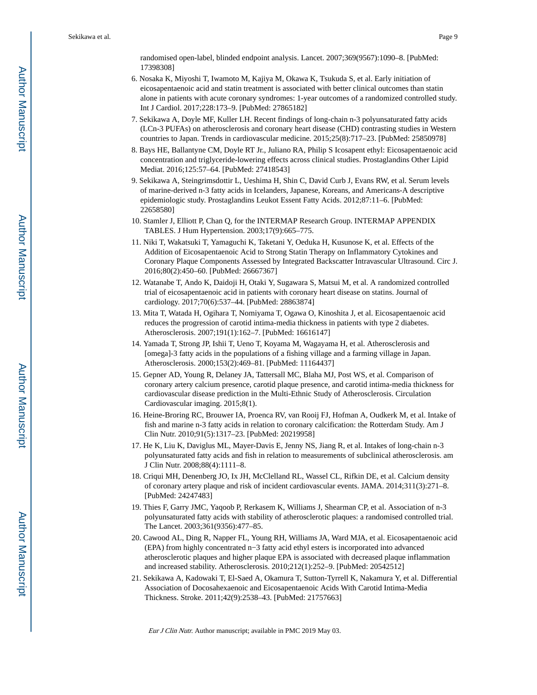randomised open-label, blinded endpoint analysis. Lancet. 2007;369(9567):1090–8. [PubMed: 17398308]

- 6. Nosaka K, Miyoshi T, Iwamoto M, Kajiya M, Okawa K, Tsukuda S, et al. Early initiation of eicosapentaenoic acid and statin treatment is associated with better clinical outcomes than statin alone in patients with acute coronary syndromes: 1-year outcomes of a randomized controlled study. Int J Cardiol. 2017;228:173–9. [PubMed: 27865182]
- 7. Sekikawa A, Doyle MF, Kuller LH. Recent findings of long-chain n-3 polyunsaturated fatty acids (LCn-3 PUFAs) on atherosclerosis and coronary heart disease (CHD) contrasting studies in Western countries to Japan. Trends in cardiovascular medicine. 2015;25(8):717–23. [PubMed: 25850978]
- 8. Bays HE, Ballantyne CM, Doyle RT Jr., Juliano RA, Philip S Icosapent ethyl: Eicosapentaenoic acid concentration and triglyceride-lowering effects across clinical studies. Prostaglandins Other Lipid Mediat. 2016;125:57–64. [PubMed: 27418543]
- 9. Sekikawa A, Steingrimsdottir L, Ueshima H, Shin C, David Curb J, Evans RW, et al. Serum levels of marine-derived n-3 fatty acids in Icelanders, Japanese, Koreans, and Americans-A descriptive epidemiologic study. Prostaglandins Leukot Essent Fatty Acids. 2012;87:11–6. [PubMed: 22658580]
- 10. Stamler J, Elliott P, Chan Q, for the INTERMAP Research Group. INTERMAP APPENDIX TABLES. J Hum Hypertension. 2003;17(9):665–775.
- 11. Niki T, Wakatsuki T, Yamaguchi K, Taketani Y, Oeduka H, Kusunose K, et al. Effects of the Addition of Eicosapentaenoic Acid to Strong Statin Therapy on Inflammatory Cytokines and Coronary Plaque Components Assessed by Integrated Backscatter Intravascular Ultrasound. Circ J. 2016;80(2):450–60. [PubMed: 26667367]
- 12. Watanabe T, Ando K, Daidoji H, Otaki Y, Sugawara S, Matsui M, et al. A randomized controlled trial of eicosapentaenoic acid in patients with coronary heart disease on statins. Journal of cardiology. 2017;70(6):537–44. [PubMed: 28863874]
- 13. Mita T, Watada H, Ogihara T, Nomiyama T, Ogawa O, Kinoshita J, et al. Eicosapentaenoic acid reduces the progression of carotid intima-media thickness in patients with type 2 diabetes. Atherosclerosis. 2007;191(1):162–7. [PubMed: 16616147]
- 14. Yamada T, Strong JP, Ishii T, Ueno T, Koyama M, Wagayama H, et al. Atherosclerosis and [omega]-3 fatty acids in the populations of a fishing village and a farming village in Japan. Atherosclerosis. 2000;153(2):469–81. [PubMed: 11164437]
- 15. Gepner AD, Young R, Delaney JA, Tattersall MC, Blaha MJ, Post WS, et al. Comparison of coronary artery calcium presence, carotid plaque presence, and carotid intima-media thickness for cardiovascular disease prediction in the Multi-Ethnic Study of Atherosclerosis. Circulation Cardiovascular imaging. 2015;8(1).
- 16. Heine-Broring RC, Brouwer IA, Proenca RV, van Rooij FJ, Hofman A, Oudkerk M, et al. Intake of fish and marine n-3 fatty acids in relation to coronary calcification: the Rotterdam Study. Am J Clin Nutr. 2010;91(5):1317–23. [PubMed: 20219958]
- 17. He K, Liu K, Daviglus ML, Mayer-Davis E, Jenny NS, Jiang R, et al. Intakes of long-chain n-3 polyunsaturated fatty acids and fish in relation to measurements of subclinical atherosclerosis. am J Clin Nutr. 2008;88(4):1111–8.
- 18. Criqui MH, Denenberg JO, Ix JH, McClelland RL, Wassel CL, Rifkin DE, et al. Calcium density of coronary artery plaque and risk of incident cardiovascular events. JAMA. 2014;311(3):271–8. [PubMed: 24247483]
- 19. Thies F, Garry JMC, Yaqoob P, Rerkasem K, Williams J, Shearman CP, et al. Association of n-3 polyunsaturated fatty acids with stability of atherosclerotic plaques: a randomised controlled trial. The Lancet. 2003;361(9356):477–85.
- 20. Cawood AL, Ding R, Napper FL, Young RH, Williams JA, Ward MJA, et al. Eicosapentaenoic acid (EPA) from highly concentrated n−3 fatty acid ethyl esters is incorporated into advanced atherosclerotic plaques and higher plaque EPA is associated with decreased plaque inflammation and increased stability. Atherosclerosis. 2010;212(1):252–9. [PubMed: 20542512]
- 21. Sekikawa A, Kadowaki T, El-Saed A, Okamura T, Sutton-Tyrrell K, Nakamura Y, et al. Differential Association of Docosahexaenoic and Eicosapentaenoic Acids With Carotid Intima-Media Thickness. Stroke. 2011;42(9):2538–43. [PubMed: 21757663]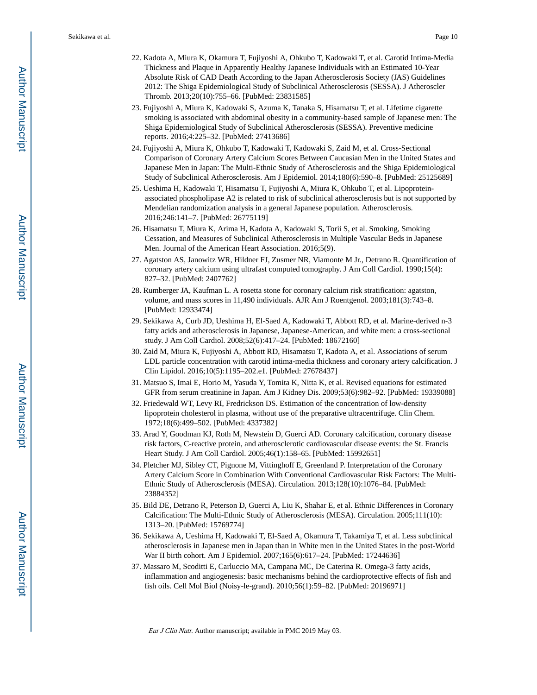- 22. Kadota A, Miura K, Okamura T, Fujiyoshi A, Ohkubo T, Kadowaki T, et al. Carotid Intima-Media Thickness and Plaque in Apparently Healthy Japanese Individuals with an Estimated 10-Year Absolute Risk of CAD Death According to the Japan Atherosclerosis Society (JAS) Guidelines 2012: The Shiga Epidemiological Study of Subclinical Atherosclerosis (SESSA). J Atheroscler Thromb. 2013;20(10):755–66. [PubMed: 23831585]
- 23. Fujiyoshi A, Miura K, Kadowaki S, Azuma K, Tanaka S, Hisamatsu T, et al. Lifetime cigarette smoking is associated with abdominal obesity in a community-based sample of Japanese men: The Shiga Epidemiological Study of Subclinical Atherosclerosis (SESSA). Preventive medicine reports. 2016;4:225–32. [PubMed: 27413686]
- 24. Fujiyoshi A, Miura K, Ohkubo T, Kadowaki T, Kadowaki S, Zaid M, et al. Cross-Sectional Comparison of Coronary Artery Calcium Scores Between Caucasian Men in the United States and Japanese Men in Japan: The Multi-Ethnic Study of Atherosclerosis and the Shiga Epidemiological Study of Subclinical Atherosclerosis. Am J Epidemiol. 2014;180(6):590–8. [PubMed: 25125689]
- 25. Ueshima H, Kadowaki T, Hisamatsu T, Fujiyoshi A, Miura K, Ohkubo T, et al. Lipoproteinassociated phospholipase A2 is related to risk of subclinical atherosclerosis but is not supported by Mendelian randomization analysis in a general Japanese population. Atherosclerosis. 2016;246:141–7. [PubMed: 26775119]
- 26. Hisamatsu T, Miura K, Arima H, Kadota A, Kadowaki S, Torii S, et al. Smoking, Smoking Cessation, and Measures of Subclinical Atherosclerosis in Multiple Vascular Beds in Japanese Men. Journal of the American Heart Association. 2016;5(9).
- 27. Agatston AS, Janowitz WR, Hildner FJ, Zusmer NR, Viamonte M Jr., Detrano R. Quantification of coronary artery calcium using ultrafast computed tomography. J Am Coll Cardiol. 1990;15(4): 827–32. [PubMed: 2407762]
- 28. Rumberger JA, Kaufman L. A rosetta stone for coronary calcium risk stratification: agatston, volume, and mass scores in 11,490 individuals. AJR Am J Roentgenol. 2003;181(3):743–8. [PubMed: 12933474]
- 29. Sekikawa A, Curb JD, Ueshima H, El-Saed A, Kadowaki T, Abbott RD, et al. Marine-derived n-3 fatty acids and atherosclerosis in Japanese, Japanese-American, and white men: a cross-sectional study. J Am Coll Cardiol. 2008;52(6):417–24. [PubMed: 18672160]
- 30. Zaid M, Miura K, Fujiyoshi A, Abbott RD, Hisamatsu T, Kadota A, et al. Associations of serum LDL particle concentration with carotid intima-media thickness and coronary artery calcification. J Clin Lipidol. 2016;10(5):1195–202.e1. [PubMed: 27678437]
- 31. Matsuo S, Imai E, Horio M, Yasuda Y, Tomita K, Nitta K, et al. Revised equations for estimated GFR from serum creatinine in Japan. Am J Kidney Dis. 2009;53(6):982–92. [PubMed: 19339088]
- 32. Friedewald WT, Levy RI, Fredrickson DS. Estimation of the concentration of low-density lipoprotein cholesterol in plasma, without use of the preparative ultracentrifuge. Clin Chem. 1972;18(6):499–502. [PubMed: 4337382]
- 33. Arad Y, Goodman KJ, Roth M, Newstein D, Guerci AD. Coronary calcification, coronary disease risk factors, C-reactive protein, and atherosclerotic cardiovascular disease events: the St. Francis Heart Study. J Am Coll Cardiol. 2005;46(1):158–65. [PubMed: 15992651]
- 34. Pletcher MJ, Sibley CT, Pignone M, Vittinghoff E, Greenland P. Interpretation of the Coronary Artery Calcium Score in Combination With Conventional Cardiovascular Risk Factors: The Multi-Ethnic Study of Atherosclerosis (MESA). Circulation. 2013;128(10):1076–84. [PubMed: 23884352]
- 35. Bild DE, Detrano R, Peterson D, Guerci A, Liu K, Shahar E, et al. Ethnic Differences in Coronary Calcification: The Multi-Ethnic Study of Atherosclerosis (MESA). Circulation. 2005;111(10): 1313–20. [PubMed: 15769774]
- 36. Sekikawa A, Ueshima H, Kadowaki T, El-Saed A, Okamura T, Takamiya T, et al. Less subclinical atherosclerosis in Japanese men in Japan than in White men in the United States in the post-World War II birth cohort. Am J Epidemiol. 2007;165(6):617–24. [PubMed: 17244636]
- 37. Massaro M, Scoditti E, Carluccio MA, Campana MC, De Caterina R. Omega-3 fatty acids, inflammation and angiogenesis: basic mechanisms behind the cardioprotective effects of fish and fish oils. Cell Mol Biol (Noisy-le-grand). 2010;56(1):59–82. [PubMed: 20196971]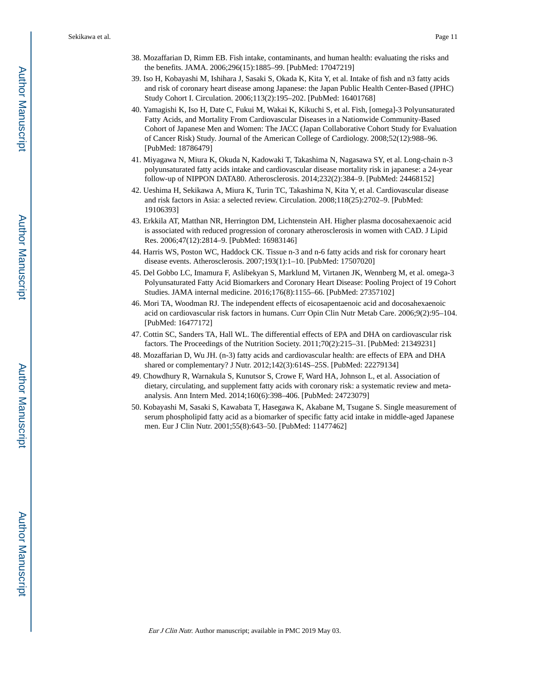- 38. Mozaffarian D, Rimm EB. Fish intake, contaminants, and human health: evaluating the risks and the benefits. JAMA. 2006;296(15):1885–99. [PubMed: 17047219]
- 39. Iso H, Kobayashi M, Ishihara J, Sasaki S, Okada K, Kita Y, et al. Intake of fish and n3 fatty acids and risk of coronary heart disease among Japanese: the Japan Public Health Center-Based (JPHC) Study Cohort I. Circulation. 2006;113(2):195–202. [PubMed: 16401768]
- 40. Yamagishi K, Iso H, Date C, Fukui M, Wakai K, Kikuchi S, et al. Fish, [omega]-3 Polyunsaturated Fatty Acids, and Mortality From Cardiovascular Diseases in a Nationwide Community-Based Cohort of Japanese Men and Women: The JACC (Japan Collaborative Cohort Study for Evaluation of Cancer Risk) Study. Journal of the American College of Cardiology. 2008;52(12):988–96. [PubMed: 18786479]
- 41. Miyagawa N, Miura K, Okuda N, Kadowaki T, Takashima N, Nagasawa SY, et al. Long-chain n-3 polyunsaturated fatty acids intake and cardiovascular disease mortality risk in japanese: a 24-year follow-up of NIPPON DATA80. Atherosclerosis. 2014;232(2):384–9. [PubMed: 24468152]
- 42. Ueshima H, Sekikawa A, Miura K, Turin TC, Takashima N, Kita Y, et al. Cardiovascular disease and risk factors in Asia: a selected review. Circulation. 2008;118(25):2702–9. [PubMed: 19106393]
- 43. Erkkila AT, Matthan NR, Herrington DM, Lichtenstein AH. Higher plasma docosahexaenoic acid is associated with reduced progression of coronary atherosclerosis in women with CAD. J Lipid Res. 2006;47(12):2814–9. [PubMed: 16983146]
- 44. Harris WS, Poston WC, Haddock CK. Tissue n-3 and n-6 fatty acids and risk for coronary heart disease events. Atherosclerosis. 2007;193(1):1–10. [PubMed: 17507020]
- 45. Del Gobbo LC, Imamura F, Aslibekyan S, Marklund M, Virtanen JK, Wennberg M, et al. omega-3 Polyunsaturated Fatty Acid Biomarkers and Coronary Heart Disease: Pooling Project of 19 Cohort Studies. JAMA internal medicine. 2016;176(8):1155–66. [PubMed: 27357102]
- 46. Mori TA, Woodman RJ. The independent effects of eicosapentaenoic acid and docosahexaenoic acid on cardiovascular risk factors in humans. Curr Opin Clin Nutr Metab Care. 2006;9(2):95–104. [PubMed: 16477172]
- 47. Cottin SC, Sanders TA, Hall WL. The differential effects of EPA and DHA on cardiovascular risk factors. The Proceedings of the Nutrition Society. 2011;70(2):215–31. [PubMed: 21349231]
- 48. Mozaffarian D, Wu JH. (n-3) fatty acids and cardiovascular health: are effects of EPA and DHA shared or complementary? J Nutr. 2012;142(3):614S–25S. [PubMed: 22279134]
- 49. Chowdhury R, Warnakula S, Kunutsor S, Crowe F, Ward HA, Johnson L, et al. Association of dietary, circulating, and supplement fatty acids with coronary risk: a systematic review and metaanalysis. Ann Intern Med. 2014;160(6):398–406. [PubMed: 24723079]
- 50. Kobayashi M, Sasaki S, Kawabata T, Hasegawa K, Akabane M, Tsugane S. Single measurement of serum phospholipid fatty acid as a biomarker of specific fatty acid intake in middle-aged Japanese men. Eur J Clin Nutr. 2001;55(8):643–50. [PubMed: 11477462]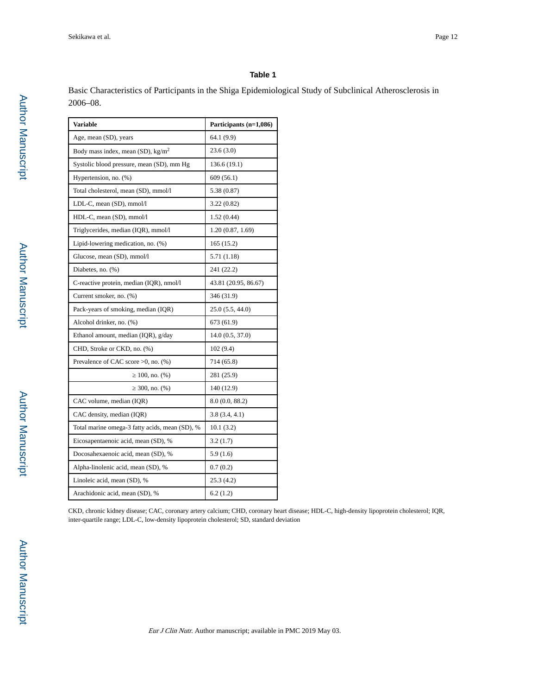Basic Characteristics of Participants in the Shiga Epidemiological Study of Subclinical Atherosclerosis in 2006–08.

| <b>Variable</b>                                  | Participants (n=1,086) |
|--------------------------------------------------|------------------------|
| Age, mean (SD), years                            | 64.1 (9.9)             |
| Body mass index, mean $(SD)$ , kg/m <sup>2</sup> | 23.6(3.0)              |
| Systolic blood pressure, mean (SD), mm Hg        | 136.6 (19.1)           |
| Hypertension, no. (%)                            | 609(56.1)              |
| Total cholesterol, mean (SD), mmol/l             | 5.38 (0.87)            |
| LDL-C, mean (SD), mmol/l                         | 3.22(0.82)             |
| HDL-C, mean (SD), mmol/l                         | 1.52(0.44)             |
| Triglycerides, median (IQR), mmol/l              | 1.20(0.87, 1.69)       |
| Lipid-lowering medication, no. (%)               | 165 (15.2)             |
| Glucose, mean (SD), mmol/l                       | 5.71 (1.18)            |
| Diabetes, no. (%)                                | 241 (22.2)             |
| C-reactive protein, median (IQR), nmol/l         | 43.81 (20.95, 86.67)   |
| Current smoker, no. (%)                          | 346 (31.9)             |
| Pack-years of smoking, median (IQR)              | 25.0(5.5, 44.0)        |
| Alcohol drinker, no. (%)                         | 673 (61.9)             |
| Ethanol amount, median (IQR), $g/day$            | 14.0(0.5, 37.0)        |
| CHD, Stroke or CKD, no. (%)                      | 102(9.4)               |
| Prevalence of CAC score $>0$ , no. (%)           | 714 (65.8)             |
| $100$ , no. $(\%)$                               | 281 (25.9)             |
| 300, no. (%)                                     | 140 (12.9)             |
| CAC volume, median (IQR)                         | 8.0(0.0, 88.2)         |
| CAC density, median (IQR)                        | 3.8(3.4, 4.1)          |
| Total marine omega-3 fatty acids, mean (SD), %   | 10.1(3.2)              |
| Eicosapentaenoic acid, mean (SD), %              | 3.2(1.7)               |
| Docosahexaenoic acid, mean (SD), %               | 5.9(1.6)               |
| Alpha-linolenic acid, mean (SD), %               | 0.7(0.2)               |
| Linoleic acid, mean (SD), %                      | 25.3(4.2)              |
| Arachidonic acid, mean (SD), %                   | 6.2(1.2)               |

CKD, chronic kidney disease; CAC, coronary artery calcium; CHD, coronary heart disease; HDL-C, high-density lipoprotein cholesterol; IQR, inter-quartile range; LDL-C, low-density lipoprotein cholesterol; SD, standard deviation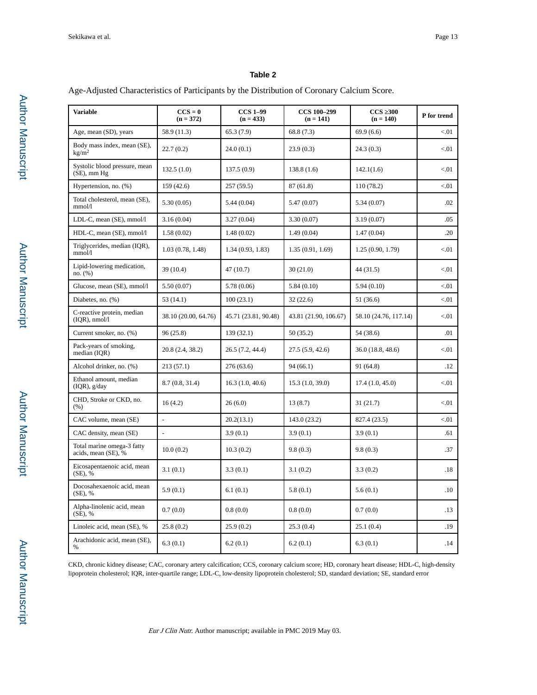Age-Adjusted Characteristics of Participants by the Distribution of Coronary Calcium Score.

| <b>Variable</b>                                   | $CCS = 0$<br>$(n = 372)$ | <b>CCS 1-99</b><br>$(n = 433)$ | <b>CCS 100-299</b><br>$(n = 141)$ | <b>CCS 300</b><br>$(n = 140)$ | P for trend |
|---------------------------------------------------|--------------------------|--------------------------------|-----------------------------------|-------------------------------|-------------|
| Age, mean (SD), years                             | 58.9 (11.3)              | 65.3(7.9)                      | 68.8 (7.3)                        | 69.9(6.6)                     | < 01        |
| Body mass index, mean (SE),<br>kg/m <sup>2</sup>  | 22.7(0.2)                | 24.0(0.1)                      | 23.9(0.3)                         | 24.3(0.3)                     | < 01        |
| Systolic blood pressure, mean<br>$(SE)$ , mm $Hg$ | 132.5(1.0)               | 137.5(0.9)                     | 138.8(1.6)                        | 142.1(1.6)                    | < 01        |
| Hypertension, no. (%)                             | 159 (42.6)               | 257(59.5)                      | 87(61.8)                          | 110(78.2)                     | < 01        |
| Total cholesterol, mean (SE),<br>mmol/l           | 5.30(0.05)               | 5.44(0.04)                     | 5.47(0.07)                        | 5.34(0.07)                    | .02         |
| LDL-C, mean (SE), mmol/l                          | 3.16(0.04)               | 3.27(0.04)                     | 3.30(0.07)                        | 3.19(0.07)                    | .05         |
| HDL-C, mean (SE), mmol/l                          | 1.58(0.02)               | 1.48(0.02)                     | 1.49(0.04)                        | 1.47(0.04)                    | .20         |
| Triglycerides, median (IQR),<br>mmol/l            | 1.03(0.78, 1.48)         | 1.34(0.93, 1.83)               | 1.35(0.91, 1.69)                  | 1.25(0.90, 1.79)              | < 01        |
| Lipid-lowering medication,<br>no. (%)             | 39 (10.4)                | 47(10.7)                       | 30(21.0)                          | 44 (31.5)                     | < 01        |
| Glucose, mean (SE), mmol/l                        | 5.50(0.07)               | 5.78(0.06)                     | 5.84(0.10)                        | 5.94(0.10)                    | < 01        |
| Diabetes, no. (%)                                 | 53(14.1)                 | 100(23.1)                      | 32(22.6)                          | 51 (36.6)                     | < 01        |
| C-reactive protein, median<br>$(IQR)$ , nmol/l    | 38.10 (20.00, 64.76)     | 45.71 (23.81, 90.48)           | 43.81 (21.90, 106.67)             | 58.10 (24.76, 117.14)         | < 01        |
| Current smoker, no. (%)                           | 96(25.8)                 | 139(32.1)                      | 50 (35.2)                         | 54 (38.6)                     | .01         |
| Pack-years of smoking,<br>median (IQR)            | 20.8(2.4, 38.2)          | 26.5 (7.2, 44.4)               | 27.5(5.9, 42.6)                   | 36.0(18.8, 48.6)              | < 01        |
| Alcohol drinker, no. (%)                          | 213(57.1)                | 276(63.6)                      | 94(66.1)                          | 91 (64.8)                     | .12         |
| Ethanol amount, median<br>$(IQR)$ , $g/day$       | 8.7(0.8, 31.4)           | 16.3(1.0, 40.6)                | 15.3(1.0, 39.0)                   | 17.4(1.0, 45.0)               | < 01        |
| CHD, Stroke or CKD, no.<br>(% )                   | 16(4.2)                  | 26(6.0)                        | 13(8.7)                           | 31 (21.7)                     | < 01        |
| CAC volume, mean (SE)                             | $\frac{1}{2}$            | 20.2(13.1)                     | 143.0 (23.2)                      | 827.4 (23.5)                  | < 01        |
| CAC density, mean (SE)                            | $\frac{1}{2}$            | 3.9(0.1)                       | 3.9(0.1)                          | 3.9(0.1)                      | .61         |
| Total marine omega-3 fatty<br>acids, mean (SE), % | 10.0(0.2)                | 10.3(0.2)                      | 9.8(0.3)                          | 9.8(0.3)                      | .37         |
| Eicosapentaenoic acid, mean<br>$(SE)$ , %         | 3.1(0.1)                 | 3.3(0.1)                       | 3.1(0.2)                          | 3.3(0.2)                      | .18         |
| Docosahexaenoic acid, mean<br>$(SE)$ , %          | 5.9(0.1)                 | 6.1(0.1)                       | 5.8(0.1)                          | 5.6(0.1)                      | .10         |
| Alpha-linolenic acid, mean<br>$(SE)$ , %          | 0.7(0.0)                 | 0.8(0.0)                       | 0.8(0.0)                          | 0.7(0.0)                      | .13         |
| Linoleic acid, mean (SE), %                       | 25.8(0.2)                | 25.9(0.2)                      | 25.3(0.4)                         | 25.1(0.4)                     | .19         |
| Arachidonic acid, mean (SE),<br>%                 | 6.3(0.1)                 | 6.2(0.1)                       | 6.2(0.1)                          | 6.3(0.1)                      | .14         |

CKD, chronic kidney disease; CAC, coronary artery calcification; CCS, coronary calcium score; HD, coronary heart disease; HDL-C, high-density lipoprotein cholesterol; IQR, inter-quartile range; LDL-C, low-density lipoprotein cholesterol; SD, standard deviation; SE, standard error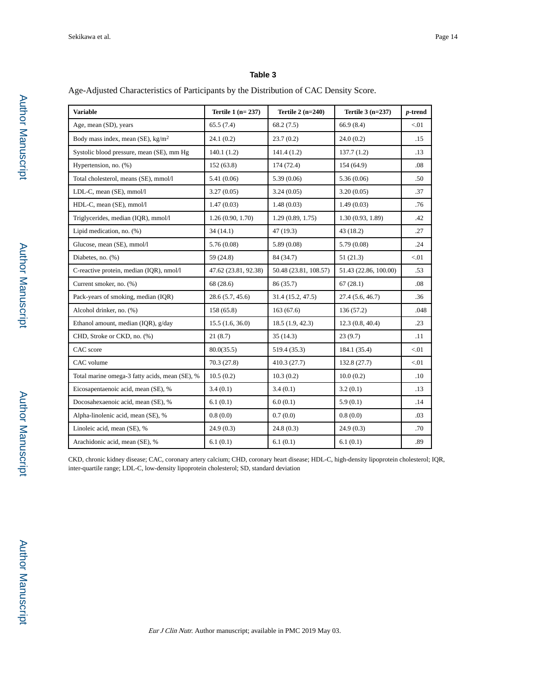Age-Adjusted Characteristics of Participants by the Distribution of CAC Density Score.

| <b>Variable</b>                                | Tertile $1(n=237)$   | Tertile $2(n=240)$    | Tertile $3(n=237)$    | $p$ -trend |
|------------------------------------------------|----------------------|-----------------------|-----------------------|------------|
| Age, mean (SD), years                          | 65.5(7.4)            | 68.2(7.5)             | 66.9(8.4)             | < 01       |
| Body mass index, mean (SE), $\text{kg/m}^2$    | 24.1(0.2)            | 23.7(0.2)             | 24.0(0.2)             | .15        |
| Systolic blood pressure, mean (SE), mm Hg      | 140.1(1.2)           | 141.4(1.2)            | 137.7(1.2)            | .13        |
| Hypertension, no. (%)                          | 152(63.8)            | 174 (72.4)            | 154 (64.9)            | .08        |
| Total cholesterol, means (SE), mmol/l          | 5.41(0.06)           | 5.39 (0.06)           | 5.36(0.06)            | .50        |
| LDL-C, mean (SE), mmol/l                       | 3.27(0.05)           | 3.24(0.05)            | 3.20(0.05)            | .37        |
| HDL-C, mean (SE), mmol/l                       | 1.47(0.03)           | 1.48(0.03)            | 1.49(0.03)            | .76        |
| Triglycerides, median (IQR), mmol/l            | 1.26(0.90, 1.70)     | 1.29(0.89, 1.75)      | 1.30(0.93, 1.89)      | .42        |
| Lipid medication, no. $(\%)$                   | 34(14.1)             | 47 (19.3)             | 43(18.2)              | .27        |
| Glucose, mean (SE), mmol/l                     | 5.76(0.08)           | 5.89(0.08)            | 5.79(0.08)            | .24        |
| Diabetes, no. (%)                              | 59 (24.8)            | 84 (34.7)             | 51(21.3)              | < 01       |
| C-reactive protein, median (IQR), nmol/l       | 47.62 (23.81, 92.38) | 50.48 (23.81, 108.57) | 51.43 (22.86, 100.00) | .53        |
| Current smoker, no. (%)                        | 68 (28.6)            | 86 (35.7)             | 67(28.1)              | $.08\,$    |
| Pack-years of smoking, median (IQR)            | 28.6(5.7, 45.6)      | 31.4 (15.2, 47.5)     | 27.4 (5.6, 46.7)      | .36        |
| Alcohol drinker, no. (%)                       | 158 (65.8)           | 163(67.6)             | 136 (57.2)            | .048       |
| Ethanol amount, median (IQR), g/day            | 15.5(1.6, 36.0)      | 18.5(1.9, 42.3)       | 12.3(0.8, 40.4)       | .23        |
| CHD, Stroke or CKD, no. (%)                    | 21(8.7)              | 35(14.3)              | 23(9.7)               | .11        |
| CAC score                                      | 80.0(35.5)           | 519.4 (35.3)          | 184.1 (35.4)          | < 01       |
| CAC volume                                     | 70.3(27.8)           | 410.3 (27.7)          | 132.8 (27.7)          | < 01       |
| Total marine omega-3 fatty acids, mean (SE), % | 10.5(0.2)            | 10.3(0.2)             | 10.0(0.2)             | .10        |
| Eicosapentaenoic acid, mean (SE), %            | 3.4(0.1)             | 3.4(0.1)              | 3.2(0.1)              | .13        |
| Docosahexaenoic acid, mean (SE), %             | 6.1(0.1)             | 6.0(0.1)              | 5.9(0.1)              | .14        |
| Alpha-linolenic acid, mean (SE), %             | 0.8(0.0)             | 0.7(0.0)              | 0.8(0.0)              | .03        |
| Linoleic acid, mean (SE), %                    | 24.9(0.3)            | 24.8(0.3)             | 24.9(0.3)             | .70        |
| Arachidonic acid, mean (SE), %                 | 6.1(0.1)             | 6.1(0.1)              | 6.1(0.1)              | .89        |

CKD, chronic kidney disease; CAC, coronary artery calcium; CHD, coronary heart disease; HDL-C, high-density lipoprotein cholesterol; IQR, inter-quartile range; LDL-C, low-density lipoprotein cholesterol; SD, standard deviation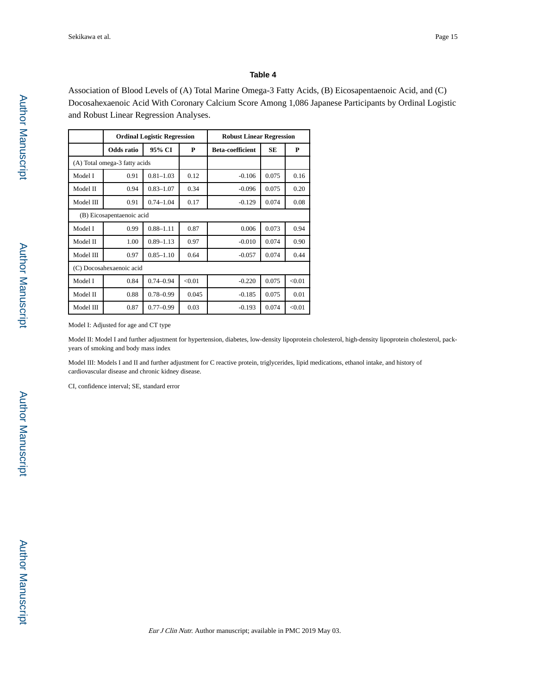Association of Blood Levels of (A) Total Marine Omega-3 Fatty Acids, (B) Eicosapentaenoic Acid, and (C) Docosahexaenoic Acid With Coronary Calcium Score Among 1,086 Japanese Participants by Ordinal Logistic and Robust Linear Regression Analyses.

|                               | <b>Ordinal Logistic Regression</b> |               | <b>Robust Linear Regression</b> |                         |       |        |
|-------------------------------|------------------------------------|---------------|---------------------------------|-------------------------|-------|--------|
|                               | Odds ratio                         | 95% CI        | P                               | <b>Beta-coefficient</b> | SE    | P      |
| (A) Total omega-3 fatty acids |                                    |               |                                 |                         |       |        |
| Model I                       | 0.91                               | $0.81 - 1.03$ | 0.12                            | $-0.106$                | 0.075 | 0.16   |
| Model II                      | 0.94                               | $0.83 - 1.07$ | 0.34                            | $-0.096$                | 0.075 | 0.20   |
| Model III                     | 0.91                               | $0.74 - 1.04$ | 0.17                            | $-0.129$                | 0.074 | 0.08   |
| (B) Eicosapentaenoic acid     |                                    |               |                                 |                         |       |        |
| Model I                       | 0.99                               | $0.88 - 1.11$ | 0.87                            | 0.006                   | 0.073 | 0.94   |
| Model II                      | 1.00                               | $0.89 - 1.13$ | 0.97                            | $-0.010$                | 0.074 | 0.90   |
| Model III                     | 0.97                               | $0.85 - 1.10$ | 0.64                            | $-0.057$                | 0.074 | 0.44   |
| (C) Docosahexaenoic acid      |                                    |               |                                 |                         |       |        |
| Model I                       | 0.84                               | $0.74 - 0.94$ | < 0.01                          | $-0.220$                | 0.075 | < 0.01 |
| Model II                      | 0.88                               | $0.78 - 0.99$ | 0.045                           | $-0.185$                | 0.075 | 0.01   |
| Model III                     | 0.87                               | $0.77 - 0.99$ | 0.03                            | $-0.193$                | 0.074 | < 0.01 |

Model I: Adjusted for age and CT type

Model II: Model I and further adjustment for hypertension, diabetes, low-density lipoprotein cholesterol, high-density lipoprotein cholesterol, packyears of smoking and body mass index

Model III: Models I and II and further adjustment for C reactive protein, triglycerides, lipid medications, ethanol intake, and history of cardiovascular disease and chronic kidney disease.

CI, confidence interval; SE, standard error